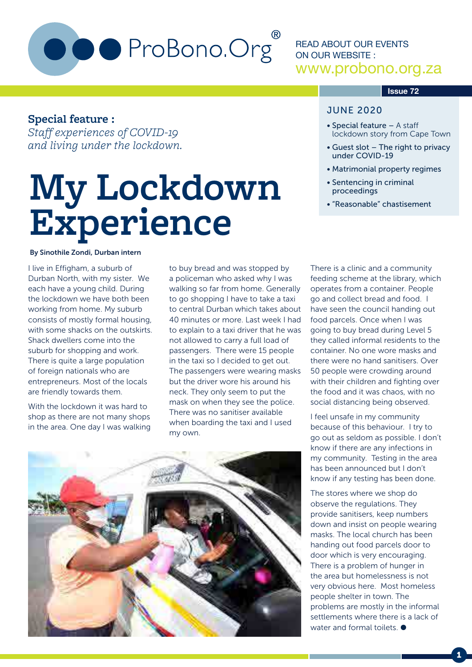

READ ABOUT OUR EVENTS ON OUR WEBSITE : www.probono.org.za

#### **Issue 72**

#### **Special feature :**

*Staff experiences of COVID-19 and living under the lockdown.*

# **My Lockdown Experience**

#### By Sinothile Zondi, Durban intern

I live in Effigham, a suburb of Durban North, with my sister. We each have a young child. During the lockdown we have both been working from home. My suburb consists of mostly formal housing, with some shacks on the outskirts. Shack dwellers come into the suburb for shopping and work. There is quite a large population of foreign nationals who are entrepreneurs. Most of the locals are friendly towards them.

With the lockdown it was hard to shop as there are not many shops in the area. One day I was walking to buy bread and was stopped by a policeman who asked why I was walking so far from home. Generally to go shopping I have to take a taxi to central Durban which takes about 40 minutes or more. Last week I had to explain to a taxi driver that he was not allowed to carry a full load of passengers. There were 15 people in the taxi so I decided to get out. The passengers were wearing masks but the driver wore his around his neck. They only seem to put the mask on when they see the police. There was no sanitiser available when boarding the taxi and I used my own.



#### JUNE 2020

- Special feature A staff lockdown story from Cape Town
- Guest slot The right to privacy under COVID-19
- Matrimonial property regimes
- Sentencing in criminal proceedings
- "Reasonable" chastisement

There is a clinic and a community feeding scheme at the library, which operates from a container. People go and collect bread and food. I have seen the council handing out food parcels. Once when I was going to buy bread during Level 5 they called informal residents to the container. No one wore masks and there were no hand sanitisers. Over 50 people were crowding around with their children and fighting over the food and it was chaos, with no social distancing being observed.

I feel unsafe in my community because of this behaviour. I try to go out as seldom as possible. I don't know if there are any infections in my community. Testing in the area has been announced but I don't know if any testing has been done.

The stores where we shop do observe the regulations. They provide sanitisers, keep numbers down and insist on people wearing masks. The local church has been handing out food parcels door to door which is very encouraging. There is a problem of hunger in the area but homelessness is not very obvious here. Most homeless people shelter in town. The problems are mostly in the informal settlements where there is a lack of water and formal toilets.  $\bullet$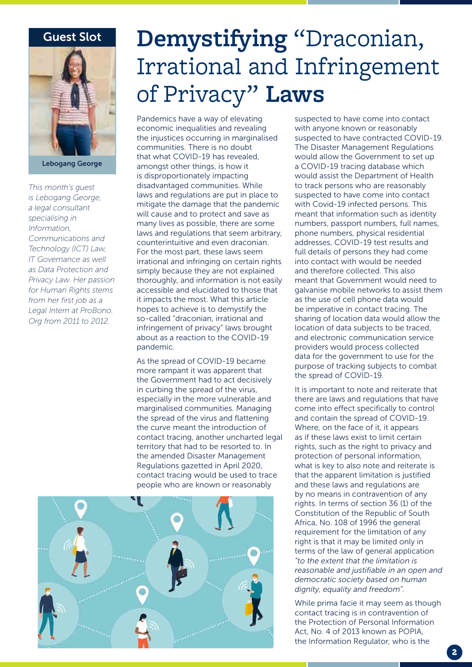#### Guest Slot



Lebogang George

*This month's guest is Lebogang George, a legal consultant specialising in Information, Communications and Technology (ICT) Law, IT Governance as well as Data Protection and Privacy Law. Her passion for Human Rights stems from her first job as a Legal Intern at ProBono. Org from 2011 to 2012.*

### **Demystifying** "Draconian, Irrational and Infringement of Privacy" **Laws**

Pandemics have a way of elevating economic inequalities and revealing the injustices occurring in marginalised communities. There is no doubt that what COVID-19 has revealed, amongst other things, is how it is disproportionately impacting disadvantaged communities. While laws and regulations are put in place to mitigate the damage that the pandemic will cause and to protect and save as many lives as possible, there are some laws and regulations that seem arbitrary, counterintuitive and even draconian. For the most part, these laws seem irrational and infringing on certain rights simply because they are not explained thoroughly, and information is not easily accessible and elucidated to those that it impacts the most. What this article hopes to achieve is to demystify the so-called "draconian, irrational and infringement of privacy" laws brought about as a reaction to the COVID-19 pandemic.

As the spread of COVID-19 became more rampant it was apparent that the Government had to act decisively in curbing the spread of the virus, especially in the more vulnerable and marginalised communities. Managing the spread of the virus and flattening the curve meant the introduction of contact tracing, another uncharted legal territory that had to be resorted to. In the amended Disaster Management Regulations gazetted in April 2020, contact tracing would be used to trace people who are known or reasonably



suspected to have come into contact with anyone known or reasonably suspected to have contracted COVID-19. The Disaster Management Regulations would allow the Government to set up a COVID-19 tracing database which would assist the Department of Health to track persons who are reasonably suspected to have come into contact with Covid-19 infected persons. This meant that information such as identity numbers, passport numbers, full names, phone numbers, physical residential addresses, COVID-19 test results and full details of persons they had come into contact with would be needed and therefore collected. This also meant that Government would need to galvanise mobile networks to assist them as the use of cell phone data would be imperative in contact tracing. The sharing of location data would allow the location of data subjects to be traced, and electronic communication service providers would process collected data for the government to use for the purpose of tracking subjects to combat the spread of COVID-19.

It is important to note and reiterate that there are laws and regulations that have come into effect specifically to control and contain the spread of COVID-19. Where, on the face of it, it appears as if these laws exist to limit certain rights, such as the right to privacy and protection of personal information, what is key to also note and reiterate is that the apparent limitation is justified and these laws and regulations are by no means in contravention of any rights. In terms of section 36 (1) of the Constitution of the Republic of South Africa, No. 108 of 1996 the general requirement for the limitation of any right is that it may be limited only in terms of the law of general application *"to the extent that the limitation is reasonable and justifiable in an open and democratic society based on human dignity, equality and freedom"*.

While prima facie it may seem as though contact tracing is in contravention of the Protection of Personal Information Act, No. 4 of 2013 known as POPIA, the Information Regulator, who is the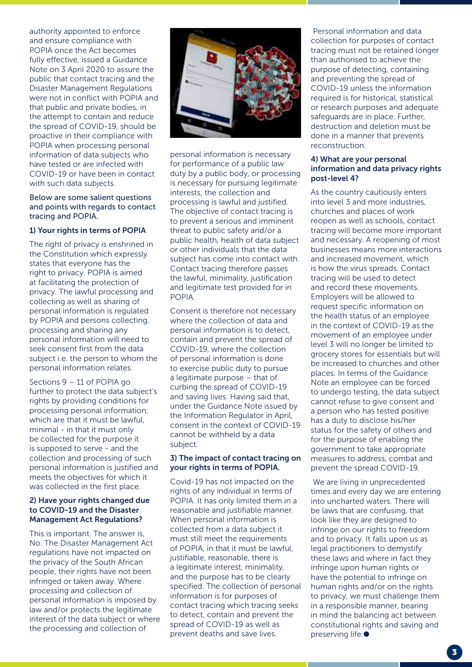authority appointed to enforce and ensure compliance with POPIA once the Act becomes fully effective, issued a Guidance Note on 3 April 2020 to assure the public that contact tracing and the Disaster Management Regulations were not in conflict with POPIA and that public and private bodies, in the attempt to contain and reduce the spread of COVID-19, should be proactive in their compliance with POPIA when processing personal information of data subjects who have tested or are infected with COVID-19 or have been in contact with such data subjects.

Below are some salient questions and points with regards to contact tracing and POPIA.

#### 1) Your rights in terms of POPIA

The right of privacy is enshrined in the Constitution which expressly states that everyone has the right to privacy. POPIA is aimed at facilitating the protection of privacy. The lawful processing and collecting as well as sharing of personal information is regulated by POPIA and persons collecting, processing and sharing any personal information will need to seek consent first from the data subject i.e. the person to whom the personal information relates.

Sections 9 – 11 of POPIA go further to protect the data subject's rights by providing conditions for processing personal information, which are that it must be lawful, minimal - in that it must only be collected for the purpose it is supposed to serve - and the collection and processing of such personal information is justified and meets the objectives for which it was collected in the first place.

#### 2) Have your rights changed due to COVID-19 and the Disaster Management Act Regulations?

This is important. The answer is, No. The Disaster Management Act regulations have not impacted on the privacy of the South African people, their rights have not been infringed or taken away. Where processing and collection of personal information is imposed by law and/or protects the legitimate interest of the data subject or where the processing and collection of



personal information is necessary for performance of a public law duty by a public body, or processing is necessary for pursuing legitimate interests, the collection and processing is lawful and justified. The objective of contact tracing is to prevent a serious and imminent threat to public safety and/or a public health, health of data subject or other individuals that the data subject has come into contact with. Contact tracing therefore passes the lawful, minimality, justification and legitimate test provided for in POPIA.

Consent is therefore not necessary where the collection of data and personal information is to detect, contain and prevent the spread of COVID-19, where the collection of personal information is done to exercise public duty to pursue a legitimate purpose – that of curbing the spread of COVID-19 and saving lives. Having said that, under the Guidance Note issued by the Information Regulator in April, consent in the context of COVID-19 cannot be withheld by a data subject.

#### 3) The impact of contact tracing on your rights in terms of POPIA.

Covid-19 has not impacted on the rights of any individual in terms of POPIA. It has only limited them in a reasonable and justifiable manner. When personal information is collected from a data subject it must still meet the requirements of POPIA, in that it must be lawful, justifiable, reasonable, there is a legitimate interest, minimality, and the purpose has to be clearly specified. The collection of personal information is for purposes of contact tracing which tracing seeks to detect, contain and prevent the spread of COVID-19 as well as prevent deaths and save lives.

 Personal information and data collection for purposes of contact tracing must not be retained longer than authorised to achieve the purpose of detecting, containing and preventing the spread of COVID-19 unless the information required is for historical, statistical or research purposes and adequate safeguards are in place. Further, destruction and deletion must be done in a manner that prevents reconstruction.

#### 4) What are your personal information and data privacy rights post-level 4?

As the country cautiously enters into level 3 and more industries, churches and places of work reopen as well as schools, contact tracing will become more important and necessary. A reopening of most businesses means more interactions and increased movement, which is how the virus spreads. Contact tracing will be used to detect and record these movements. Employers will be allowed to request specific information on the health status of an employee in the context of COVID-19 as the movement of an employee under level 3 will no longer be limited to grocery stores for essentials but will be increased to churches and other places. In terms of the Guidance Note an employee can be forced to undergo testing, the data subject cannot refuse to give consent and a person who has tested positive has a duty to disclose his/her status for the safety of others and for the purpose of enabling the government to take appropriate measures to address, combat and prevent the spread COVID-19.

 We are living in unprecedented times and every day we are entering into uncharted waters. There will be laws that are confusing, that look like they are designed to infringe on our rights to freedom and to privacy. It falls upon us as legal practitioners to demystify these laws and where in fact they infringe upon human rights or have the potential to infringe on human rights and/or on the rights to privacy, we must challenge them in a responsible manner, bearing in mind the balancing act between constitutional rights and saving and preserving life.<sup>•</sup>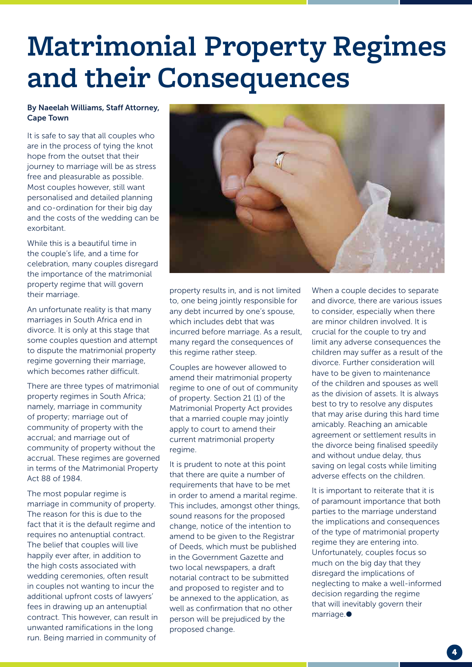## **Matrimonial Property Regimes and their Consequences**

#### By Naeelah Williams, Staff Attorney, Cape Town

It is safe to say that all couples who are in the process of tying the knot hope from the outset that their journey to marriage will be as stress free and pleasurable as possible. Most couples however, still want personalised and detailed planning and co-ordination for their big day and the costs of the wedding can be exorbitant.

While this is a beautiful time in the couple's life, and a time for celebration, many couples disregard the importance of the matrimonial property regime that will govern their marriage.

An unfortunate reality is that many marriages in South Africa end in divorce. It is only at this stage that some couples question and attempt to dispute the matrimonial property regime governing their marriage, which becomes rather difficult.

There are three types of matrimonial property regimes in South Africa; namely, marriage in community of property; marriage out of community of property with the accrual; and marriage out of community of property without the accrual. These regimes are governed in terms of the Matrimonial Property Act 88 of 1984.

The most popular regime is marriage in community of property. The reason for this is due to the fact that it is the default regime and requires no antenuptial contract. The belief that couples will live happily ever after, in addition to the high costs associated with wedding ceremonies, often result in couples not wanting to incur the additional upfront costs of lawyers' fees in drawing up an antenuptial contract. This however, can result in unwanted ramifications in the long run. Being married in community of



property results in, and is not limited to, one being jointly responsible for any debt incurred by one's spouse, which includes debt that was incurred before marriage. As a result, many regard the consequences of this regime rather steep.

Couples are however allowed to amend their matrimonial property regime to one of out of community of property. Section 21 (1) of the Matrimonial Property Act provides that a married couple may jointly apply to court to amend their current matrimonial property regime.

It is prudent to note at this point that there are quite a number of requirements that have to be met in order to amend a marital regime. This includes, amongst other things, sound reasons for the proposed change, notice of the intention to amend to be given to the Registrar of Deeds, which must be published in the Government Gazette and two local newspapers, a draft notarial contract to be submitted and proposed to register and to be annexed to the application, as well as confirmation that no other person will be prejudiced by the proposed change.

When a couple decides to separate and divorce, there are various issues to consider, especially when there are minor children involved. It is crucial for the couple to try and limit any adverse consequences the children may suffer as a result of the divorce. Further consideration will have to be given to maintenance of the children and spouses as well as the division of assets. It is always best to try to resolve any disputes that may arise during this hard time amicably. Reaching an amicable agreement or settlement results in the divorce being finalised speedily and without undue delay, thus saving on legal costs while limiting adverse effects on the children.

It is important to reiterate that it is of paramount importance that both parties to the marriage understand the implications and consequences of the type of matrimonial property regime they are entering into. Unfortunately, couples focus so much on the big day that they disregard the implications of neglecting to make a well-informed decision regarding the regime that will inevitably govern their marriage.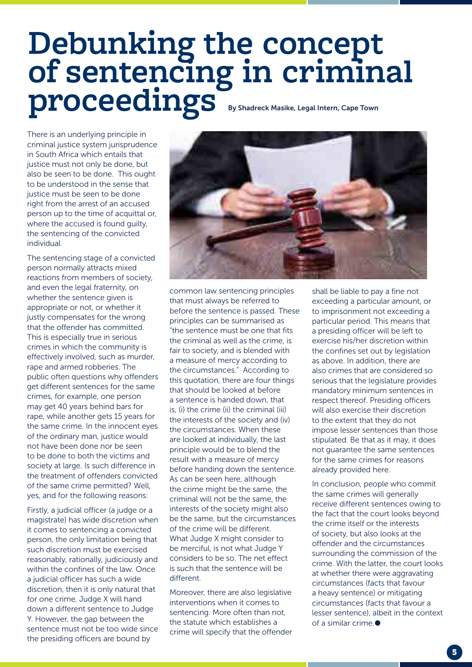## **Debunking the concept of sentencing in criminal proceedings** By Shadreck Masike, Legal Intern, Cape Town

There is an underlying principle in criminal justice system jurisprudence in South Africa which entails that justice must not only be done, but also be seen to be done. This ought to be understood in the sense that justice must be seen to be done right from the arrest of an accused person up to the time of acquittal or, where the accused is found quilty. the sentencing of the convicted individual.

The sentencing stage of a convicted person normally attracts mixed reactions from members of society, and even the legal fraternity, on whether the sentence given is appropriate or not, or whether it justly compensates for the wrong that the offender has committed. This is especially true in serious crimes in which the community is effectively involved, such as murder, rape and armed robberies. The public often questions why offenders get different sentences for the same crimes, for example, one person may get 40 years behind bars for rape, while another gets 15 years for the same crime. In the innocent eyes of the ordinary man, justice would not have been done nor be seen to be done to both the victims and society at large. Is such difference in the treatment of offenders convicted of the same crime permitted? Well, yes, and for the following reasons:

Firstly, a judicial officer (a judge or a magistrate) has wide discretion when it comes to sentencing a convicted person, the only limitation being that such discretion must be exercised reasonably, rationally, judiciously and within the confines of the law. Once a judicial officer has such a wide discretion, then it is only natural that for one crime, Judge X will hand down a different sentence to Judge Y. However, the gap between the sentence must not be too wide since the presiding officers are bound by



common law sentencing principles that must always be referred to before the sentence is passed. These principles can be summarised as "the sentence must be one that fits the criminal as well as the crime, is fair to society, and is blended with a measure of mercy according to the circumstances." According to this quotation, there are four things that should be looked at before a sentence is handed down, that is, (i) the crime (ii) the criminal (iii) the interests of the society and (iv) the circumstances. When these are looked at individually, the last principle would be to blend the result with a measure of mercy before handing down the sentence. As can be seen here, although the crime might be the same, the criminal will not be the same, the interests of the society might also be the same, but the circumstances of the crime will be different. What Judge X might consider to be merciful, is not what Judge Y considers to be so. The net effect is such that the sentence will be different.

Moreover, there are also legislative interventions when it comes to sentencing. More often than not, the statute which establishes a crime will specify that the offender

shall be liable to pay a fine not exceeding a particular amount, or to imprisonment not exceeding a particular period. This means that a presiding officer will be left to exercise his/her discretion within the confines set out by legislation as above. In addition, there are also crimes that are considered so serious that the legislature provides mandatory minimum sentences in respect thereof. Presiding officers will also exercise their discretion to the extent that they do not impose lesser sentences than those stipulated. Be that as it may, it does not guarantee the same sentences for the same crimes for reasons already provided here.

In conclusion, people who commit the same crimes will generally receive different sentences owing to the fact that the court looks beyond the crime itself or the interests of society, but also looks at the offender and the circumstances surrounding the commission of the crime. With the latter, the court looks at whether there were aggravating circumstances (facts that favour a heavy sentence) or mitigating circumstances (facts that favour a lesser sentence), albeit in the context of a similar crime.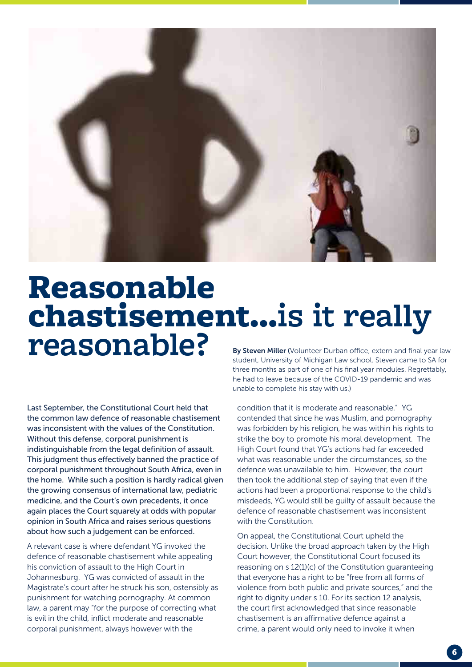

# Reasonable **chastisement...**<br>**Isy Steven Miller (Volunteer Durban office, extern and final year law**

Last September, the Constitutional Court held that the common law defence of reasonable chastisement was inconsistent with the values of the Constitution. Without this defense, corporal punishment is indistinguishable from the legal definition of assault. This judgment thus effectively banned the practice of corporal punishment throughout South Africa, even in the home. While such a position is hardly radical given the growing consensus of international law, pediatric medicine, and the Court's own precedents, it once again places the Court squarely at odds with popular opinion in South Africa and raises serious questions about how such a judgement can be enforced.

A relevant case is where defendant YG invoked the defence of reasonable chastisement while appealing his conviction of assault to the High Court in Johannesburg. YG was convicted of assault in the Magistrate's court after he struck his son, ostensibly as punishment for watching pornography. At common law, a parent may "for the purpose of correcting what is evil in the child, inflict moderate and reasonable corporal punishment, always however with the

student, University of Michigan Law school. Steven came to SA for three months as part of one of his final year modules. Regrettably, he had to leave because of the COVID-19 pandemic and was unable to complete his stay with us.)

condition that it is moderate and reasonable." YG contended that since he was Muslim, and pornography was forbidden by his religion, he was within his rights to strike the boy to promote his moral development. The High Court found that YG's actions had far exceeded what was reasonable under the circumstances, so the defence was unavailable to him. However, the court then took the additional step of saying that even if the actions had been a proportional response to the child's misdeeds, YG would still be guilty of assault because the defence of reasonable chastisement was inconsistent with the Constitution.

On appeal, the Constitutional Court upheld the decision. Unlike the broad approach taken by the High Court however, the Constitutional Court focused its reasoning on s 12(1)(c) of the Constitution guaranteeing that everyone has a right to be "free from all forms of violence from both public and private sources," and the right to dignity under s 10. For its section 12 analysis, the court first acknowledged that since reasonable chastisement is an affirmative defence against a crime, a parent would only need to invoke it when